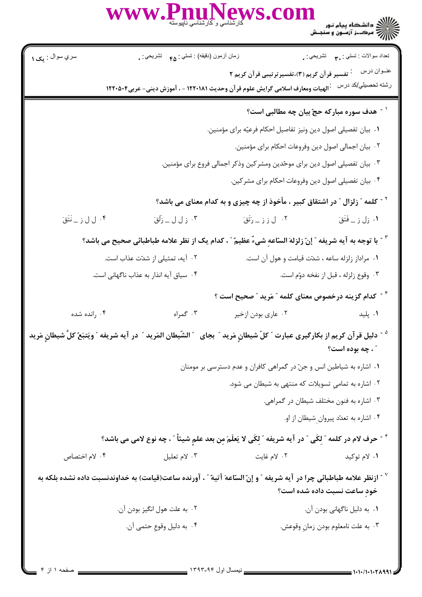)<br>)))))) دانشڪاه پيام نور<br>)))))

سري سوال : مک ۱ نعداد سوالات : نستي : ٣**.** نشريحي : . زمان أزمون (دقيقه) : تستي : <sub>۴۵</sub> تشريحي : . عنـوان درس مسلم : تفسير قرآن کريم (٣)،تفسيرترتيبي قرآن کريم ٢ رشته تحصیلي/کد درس عبالهیات ومعارف اسلامی گرایش علوم قر آن وحدیث ۱۲۲۰۱۸۱ - ، آموزش دینی- عربی۱۲۲۰۵۰۴ <sup>۱ -</sup> هدف سوره مباركه حجّ بيان چه مطالبي است؟ ٠. بيان تفصيلي اصول دين ونيز تفاصيل احكام فرعيّه براي مؤمنين. ٠٢ بيان اجمالي اصول دين وفروعات احكام براي مؤمنين. ۰۳ بیان تفصیلی اصول دین برای موحّدین ومشر کین وذکر اجمالی فروع برای مؤمنین. ۰۴ بیان تفصیلی اصول دین وفروعات احکام برای مشر کین. <sup>۲ -</sup> کلمه ″ زلزال ″ در اشتقاق کبیر ، مأخوذ از چه چیزی و به کدام معنای می باشد؟ ۰۴ ل ل ز \_ نَتَق<sup>َ</sup> ۰۲ ل ز ز <sub>د</sub> رَتَقَ ۰۳ ز ل ل \_ زَلَقَ َ ۰۱ زل ز \_ فَتَقَ ّ - با توجه به آيه شريفه ″ إنّ زلزلهَ السّاعه شيءٌ عظيمٌ ″ ، كدام يک از نظر علامه طباطبائي صحيح مي باشد؟ ۰۲ آیه، تمثیلی از شدّت عذاب است. ۰۱ مراداز زلزله ساعه ، شدّت قیامت و هول آن است. ۴. سیاق آیه انذار به عذاب ناگهانی است. ۰۳ وقوع زلزله ، قبل از نفخه دوّم است. <sup>۴ -</sup> کدام گزینه درخصوص معنای کلمه ″ مَرید ″ صحیح است ؟ ۰۳ گمراه ۰۴ رانده شده ۰۲ عاری بودن ازخیر ۰۱ يليد <sup>ه -</sup> دليل قرآن كريم از بكارگيرى عبارت ″ كلّ شيطانِ مَريد ″ بجاى ″ الشّيطان المَريد ″ در آيه شريفه ″ ويَتبَعُ كلّ شيطانٍ مَريد " ، چه بوده است؟ ۰۱ اشاره به شیاطین انس و جنّ در گمراهی کافران و عدم دسترسی بر مومنان ۲. اشاره به تمامی تسویلات که منتهی به شیطان می شود. ۰۳ اشاره به فنون مختلف شیطان در گمراهی. ۰۴ اشاره به تعدّد پیروان شیطان از او. <sup>۶ -</sup> حرف لام در كلمه ″ لكَى ″ در آيه شريفه ″ لكَى لا يَعلَمَ من بعد علمِ شيئاً ″ ، چه نوع لامى مى باشد؟ ۰۴ لام اختصاص ٢. لام غايت ۰۳ لام تعلیل ۰۱ لام توکید `` - ازنظر علامه طباطبائى چرا در آيه شريفه ″ و إنّ السّاعهَ آتيهٌ ″ ، آورنده ساعت(قيامت) به خداوندنسبت داده نشده بلكه به خود ساعت نسبت داده شده است؟ ۰۱. به دلیل ناگهانی بودن آن. ٢٠. به علت هول انگيز بودن آن. ۰۴ به دليل وقوع حتمي آن. ۰۳ به علت نامعلوم بودن زمان وقوعش.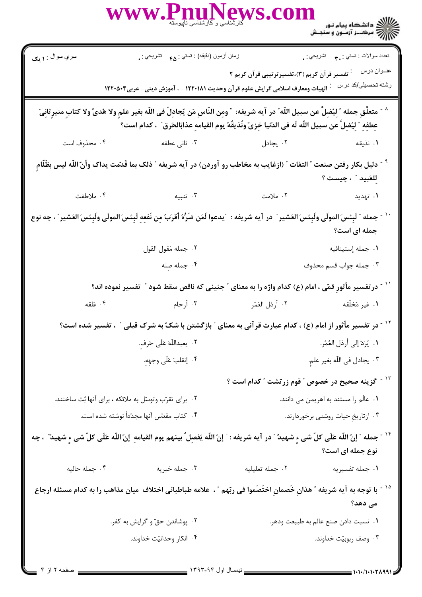|                                                                                                                                                                                                                                                         | WWW.PnuNews.con                                                                                           |                                                             | الاست دانشگاه پیام نور<br>۱۳۸۷ - دانشگاه پیام نور<br>۱۳۸۸ - مکــز آزمــون و سنجـش                    |  |
|---------------------------------------------------------------------------------------------------------------------------------------------------------------------------------------------------------------------------------------------------------|-----------------------------------------------------------------------------------------------------------|-------------------------------------------------------------|------------------------------------------------------------------------------------------------------|--|
| سري سوال : <b>۱ يک</b>                                                                                                                                                                                                                                  | زمان أزمون (دقيقه) : نستى : <sub>۴۵</sub> نشريحى : .                                                      |                                                             | تعداد سوالات : تستي : ٣. ســــ تشريحي : .                                                            |  |
|                                                                                                                                                                                                                                                         |                                                                                                           | تفسیر قرآن کریم (۳)،تفسیرترتیبی قرآن کریم ۲                 | عنــوان درس<br>رشته تحصيلي/كد درس                                                                    |  |
| الهيات ومعارف اسلامي گرايش علوم قرآن وحديث ١٢٢٠١٨١ - ، آموزش ديني- عربي١٢٢٠٥٠۴                                                                                                                                                                          |                                                                                                           |                                                             |                                                                                                      |  |
| ^ - متعلَّقِ جمله ″ لِيُضِلَّ عن سبيل اللّه″ در آيه شريفه: ″ ومِن النّاسِ مَن يُجادِلٌ في اللّه بغير علمٍ ولا هُدىً ولا كتابٍ منيرٍ ثانِيَ<br>عِطفِهِ ۗ لِيُضِلُّ عن سبيل اللَّه لَه في الدّتيا خِزِيّ ونُذيقُهُ يوم القيامهِ عذابَالحَرق ؒ ، كدام است؟ |                                                                                                           |                                                             |                                                                                                      |  |
| ۰۴ محذوف است                                                                                                                                                                                                                                            | ۰۳ ثانی عطفه                                                                                              |                                                             | ٠١ نذيقه مستخدم المستخدم المستخدم المستخدم المستخدم المستخدم المستخدم المستخدم المستخدم المستخدم الم |  |
| <sup>٩ -</sup> دليل بكار رفتن صنعت " التفات " (ازغايب به مخاطب رو آوردن) در آيه شريفه " ذلك بما قَدّمت يداك وأنّ اللّه ليس بظَلّامٍ<br>لِلعَبِيدِ " ، چيست ؟                                                                                            |                                                                                                           |                                                             |                                                                                                      |  |
| ۰۴ ملاطفت                                                                                                                                                                                                                                               | ۰۳ تنبیه                                                                                                  | ۰۲ ملامت                                                    | ۰۱ تهدید                                                                                             |  |
| `` - جمله ″ لَبِئسَ المولَى ولَبِئسَ العَشير ″ در آيه شريفه :  ″يدعوا لَمَن ضَرَّهُ أقرَبُ مِن نَفعِهِ لَبِئسَ المولَى ولَبِئسَ العَشير ″ ، چه نوع<br>جمله ای است؟                                                                                      |                                                                                                           |                                                             |                                                                                                      |  |
|                                                                                                                                                                                                                                                         | ٠٢ جمله مَقول القول                                                                                       |                                                             | ٠١. جمله إستينافيه                                                                                   |  |
|                                                                                                                                                                                                                                                         | ۰۴ جمله صله                                                                                               |                                                             | ۰۳ جمله جواب قسم محذوف                                                                               |  |
|                                                                                                                                                                                                                                                         | ّ ` ` - در تفسیر مأثورِ قمّی ، امام (ع) کدام واژه را به معنای ″ جنینی که ناقص سقط شود ″  تفسیر نموده اند؟ |                                                             |                                                                                                      |  |
| ۰۴ عَلقه                                                                                                                                                                                                                                                | ٢. أرذل العُمّر مسموع الله عنه الله عنه الله عنه الله عليه العُمّر من الله عنه الله عنه الله عنه ال       |                                                             | ۰۱ غیر مُخلّقه                                                                                       |  |
| <sup>۱۲ -</sup> در تفسیر مأثور از امام (ع) ، کدام عبارت قرآنی به معنای ″ بازگشتن با شکّ به شرک قبلی ″ ، تفسیر شده است؟                                                                                                                                  |                                                                                                           |                                                             |                                                                                                      |  |
|                                                                                                                                                                                                                                                         | ٢. يعبداللّهَ عَلَى حَرفٍ.                                                                                | ٠١. يُرَدّ إلى أرذل العُمُر.                                |                                                                                                      |  |
|                                                                                                                                                                                                                                                         | ۰۴ إنقلبَ عَلَى وجهِهِ.                                                                                   |                                                             | ٠٣ يجادل في اللّه بغير علمٍ.                                                                         |  |
|                                                                                                                                                                                                                                                         |                                                                                                           | <sup>۱۳ -</sup> گزینه صحیح در خصوص ؒ قوم زرتشت ؒ کدام است ؟ |                                                                                                      |  |
|                                                                                                                                                                                                                                                         | ۰۲ برای تقرّب وتوسّل به ملائکه ، برای آنها بُت ساختند.                                                    | ۰۱ عالَم را مستند به اهریمن می دانند.                       |                                                                                                      |  |
| ۰۴ کتاب مقدّس آنها مجدّداً نوشته شده است.                                                                                                                                                                                                               |                                                                                                           | ۰۳ ازتاریخِ حیات روشنی برخوردارند.                          |                                                                                                      |  |
| <sup>۱۴ -</sup> جمله ″ إنّ اللّه عَلَى كلّ شى ءٍ شهيد ّ " در آيه شريفه : ″ إنّ اللّه يَفصِل ُ بينهم يوم القيامهِ ٍ إنّ اللّه عَلَى كلّ شى ءٍ شهيد ٌ ، چه<br>نوع جمله ای است؟                                                                            |                                                                                                           |                                                             |                                                                                                      |  |
| ۰۴ جمله حاليه                                                                                                                                                                                                                                           | ۰۳ جمله خبریه                                                                                             | ٠٢ جمله تعليليه                                             | ۰۱ جمله تفسیریه                                                                                      |  |
| <sup>۱۵ -</sup> با توجه به آیه شریفه ″ هذانِ خَصمانِ اختَصَموا فی ربّهم ″ ، علامه طباطبائی اختلاف  میان مذاهب را به کدام مسئله ارجاع<br>می دهد؟                                                                                                         |                                                                                                           |                                                             |                                                                                                      |  |
|                                                                                                                                                                                                                                                         | ۰۲ پوشاندن حقّ و گرایش به کفر.                                                                            |                                                             | ۰۱ نسبت دادن صنع عالم به طبیعت ودهر.                                                                 |  |
|                                                                                                                                                                                                                                                         | ۰۴ انکار وحدانیّت خداوند.                                                                                 |                                                             | ۰۳ وصف ربوبيّت خداوند.                                                                               |  |
|                                                                                                                                                                                                                                                         |                                                                                                           |                                                             |                                                                                                      |  |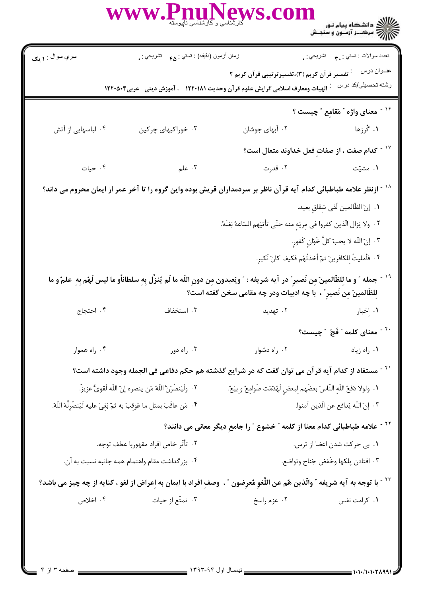)<br>))<br>))) = مرک\_ز آزمــون و سنجـش

نعداد سوالات : تستي : ٣**. ب**ه تشريحي : .

زمان أزمون (دقيقه) : تستي : <sub>۴۸</sub> تشريحي : <sub>.</sub>

عنـوان درس مع : تفسیر قرآن کریم (۳)،تفسیرترتیبی قرآن کریم ۲

رشته تحصیلي/کد درس : الهیات ومعارف اسلامی گرایش علوم قر آن وحدیث ۱۲۲۰۱۸۱ - ، آموزش دینی- عربی۲۲۰۵۰۴

<sup>۱۶ -</sup> معنای واژه ″ مَقامِع ″ چیست ؟ ١. گُرزها ۰۲ آبهای جوشان ۰۴ لباسهایی از آتش ۰۳ خوراکیهای چرکین  $^{\circ}$ ' ~ كدام صفت ، از صفات فعل خداوند متعال است $^{\circ}$ 

۰۴ حیات ۰۳ علم ۰۲ قدرت ۰۱ مشتت

## <sup>۱۸ -</sup> ازنظر علامه طباطبائی کدام آیه قرآن ناظر بر سردمداران قریش بوده واین گروه را تا آخر عمر از ایمان محروم می داند؟ ٠١. إنّ الظّالمين لَفي شقاق بعيد.

٢. ولا يَزال الّذين كفروا في مِريَهِ منه حتّى تأتيَهم السّاعهُ بَغتَهً.

- ٣. إنّ اللّه لا يحبّ كلَّ خَوّانٍ كَفورٍ.
- ۴ . فأمليتُ للكافرينَ ثمّ أخذتُهُم فكيف كانَ نَكير.
- <sup>١٩ -</sup> جمله ″ و ما للظّالمينَ من نَصيرِ ″ در آيه شريفه : ″ ويَعبدون مِن دونِ اللّه ما لَم يُنزِّل بِهِ سلطانأو ما ليس لَهُم بِهِ علمٌ و ما للظَّالمينَ من نَصير ؒ ، با چه ادبيات ودر چه مقامي سخن گفته است؟
	- ۰۴ احتجاج ۰۳ استخفاف ۰۲ تهدید ۰۱ اخبار
		- <sup>۲۰ -</sup> معنای کلمه ″ فَجّ ″ چیست؟
			- ۰۱ , اه زیاد

<sup>۲۱ -</sup> مستفاد از کدام آیه قرآن می توان گفت که در شرایع گذشته هم حکم دفاعی فی الجمله وجود داشته است؟ ٢٠. ولَيَنصُرُنَّ اللَّهُ مَن ينصره إنّ اللَّه لَقوىٌّ عزيزٌ. ١. ولولا دَفعُ اللَّه النَّاسَ بعضَهم لبعض لَهُدَّمَت صَوامعُ و بيَعٌ.

۴ . مَن عاقَبَ بمثل ما عُوقبَ به ثمّ بُغيَ عليه لَيَنصُرنَّهُ اللّهُ. ٠٣ إنّ اللّه يُدافع عن الّذين آمنوا.

۰۳ , اه دور

<sup>۲۲ -</sup> علامه طباطبائی کدام معنا از کلمه ″ خشوع ″ را جامع دیگر معانی می دانند؟

۰۲ راه دشوار

- ٢٠ تأثَّر خاص افراد مقهوربا عطف توجه. ٠١. بي حركت شدن اعضا از ترس. ۰۴ بزر گداشت مقام واهتمام همه جانبه نسبت به آن. ٠٣ افتادن يلكها وخَفض جَناح وتواضع.
- <sup>۲۲ -</sup> با توجه به آیه شریفه ″ والّذین هُم عن اللّغو مُعرضون ″ ، وصف افراد با ایمان به اعراض از لغو ، کنایه از چه چیز می باشد؟ ۰۴ اخلاص ۰۳ تمتّع از حیات ۰۲ عزم راسخ ۰۱ کرامت نفس

۰۴ راه هموار

سري سوال : **۱ بک**